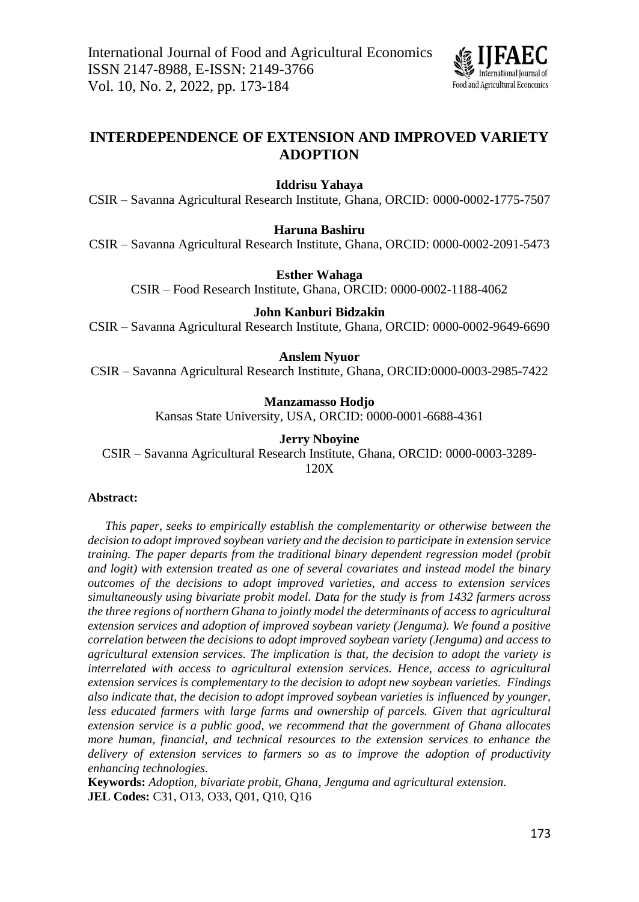

# **INTERDEPENDENCE OF EXTENSION AND IMPROVED VARIETY ADOPTION**

**Iddrisu Yahaya**

CSIR – Savanna Agricultural Research Institute, Ghana, ORCID: 0000-0002-1775-7507

**Haruna Bashiru**

CSIR – Savanna Agricultural Research Institute, Ghana, ORCID: 0000-0002-2091-5473

**Esther Wahaga**

CSIR – Food Research Institute, Ghana, ORCID: 0000-0002-1188-4062

# **John Kanburi Bidzakin**

CSIR – Savanna Agricultural Research Institute, Ghana, ORCID: 0000-0002-9649-6690

## **Anslem Nyuor**

CSIR – Savanna Agricultural Research Institute, Ghana, ORCID:0000-0003-2985-7422

# **Manzamasso Hodjo**

Kansas State University, USA, ORCID: 0000-0001-6688-4361

# **Jerry Nboyine**

CSIR – Savanna Agricultural Research Institute, Ghana, ORCID: 0000-0003-3289- 120X

# **Abstract:**

*This paper, seeks to empirically establish the complementarity or otherwise between the decision to adopt improved soybean variety and the decision to participate in extension service training. The paper departs from the traditional binary dependent regression model (probit and logit) with extension treated as one of several covariates and instead model the binary outcomes of the decisions to adopt improved varieties, and access to extension services simultaneously using bivariate probit model. Data for the study is from 1432 farmers across the three regions of northern Ghana to jointly model the determinants of access to agricultural extension services and adoption of improved soybean variety (Jenguma). We found a positive correlation between the decisions to adopt improved soybean variety (Jenguma) and access to agricultural extension services. The implication is that, the decision to adopt the variety is interrelated with access to agricultural extension services. Hence, access to agricultural extension services is complementary to the decision to adopt new soybean varieties. Findings also indicate that, the decision to adopt improved soybean varieties is influenced by younger, less educated farmers with large farms and ownership of parcels. Given that agricultural extension service is a public good, we recommend that the government of Ghana allocates more human, financial, and technical resources to the extension services to enhance the delivery of extension services to farmers so as to improve the adoption of productivity enhancing technologies.*

**Keywords:** *Adoption, bivariate probit, Ghana, Jenguma and agricultural extension.* **JEL Codes:** C31, O13, O33, Q01, Q10, Q16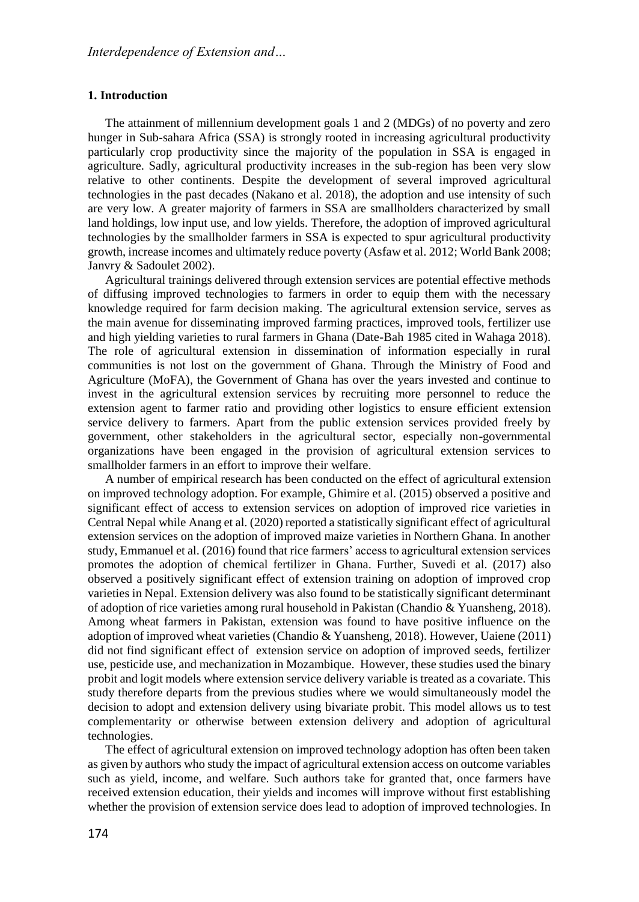#### **1. Introduction**

The attainment of millennium development goals 1 and 2 (MDGs) of no poverty and zero hunger in Sub-sahara Africa (SSA) is strongly rooted in increasing agricultural productivity particularly crop productivity since the majority of the population in SSA is engaged in agriculture. Sadly, agricultural productivity increases in the sub-region has been very slow relative to other continents. Despite the development of several improved agricultural technologies in the past decades (Nakano et al. 2018), the adoption and use intensity of such are very low. A greater majority of farmers in SSA are smallholders characterized by small land holdings, low input use, and low yields. Therefore, the adoption of improved agricultural technologies by the smallholder farmers in SSA is expected to spur agricultural productivity growth, increase incomes and ultimately reduce poverty (Asfaw et al. 2012; World Bank 2008; Janvry & Sadoulet 2002).

Agricultural trainings delivered through extension services are potential effective methods of diffusing improved technologies to farmers in order to equip them with the necessary knowledge required for farm decision making. The agricultural extension service, serves as the main avenue for disseminating improved farming practices, improved tools, fertilizer use and high yielding varieties to rural farmers in Ghana (Date-Bah 1985 cited in Wahaga 2018). The role of agricultural extension in dissemination of information especially in rural communities is not lost on the government of Ghana. Through the Ministry of Food and Agriculture (MoFA), the Government of Ghana has over the years invested and continue to invest in the agricultural extension services by recruiting more personnel to reduce the extension agent to farmer ratio and providing other logistics to ensure efficient extension service delivery to farmers. Apart from the public extension services provided freely by government, other stakeholders in the agricultural sector, especially non-governmental organizations have been engaged in the provision of agricultural extension services to smallholder farmers in an effort to improve their welfare.

A number of empirical research has been conducted on the effect of agricultural extension on improved technology adoption. For example, Ghimire et al. (2015) observed a positive and significant effect of access to extension services on adoption of improved rice varieties in Central Nepal while Anang et al. (2020) reported a statistically significant effect of agricultural extension services on the adoption of improved maize varieties in Northern Ghana. In another study, Emmanuel et al. (2016) found that rice farmers' access to agricultural extension services promotes the adoption of chemical fertilizer in Ghana. Further, Suvedi et al. (2017) also observed a positively significant effect of extension training on adoption of improved crop varieties in Nepal. Extension delivery was also found to be statistically significant determinant of adoption of rice varieties among rural household in Pakistan (Chandio & Yuansheng, 2018). Among wheat farmers in Pakistan, extension was found to have positive influence on the adoption of improved wheat varieties (Chandio & Yuansheng, 2018). However, Uaiene (2011) did not find significant effect of extension service on adoption of improved seeds, fertilizer use, pesticide use, and mechanization in Mozambique. However, these studies used the binary probit and logit models where extension service delivery variable is treated as a covariate. This study therefore departs from the previous studies where we would simultaneously model the decision to adopt and extension delivery using bivariate probit. This model allows us to test complementarity or otherwise between extension delivery and adoption of agricultural technologies.

The effect of agricultural extension on improved technology adoption has often been taken as given by authors who study the impact of agricultural extension access on outcome variables such as yield, income, and welfare. Such authors take for granted that, once farmers have received extension education, their yields and incomes will improve without first establishing whether the provision of extension service does lead to adoption of improved technologies. In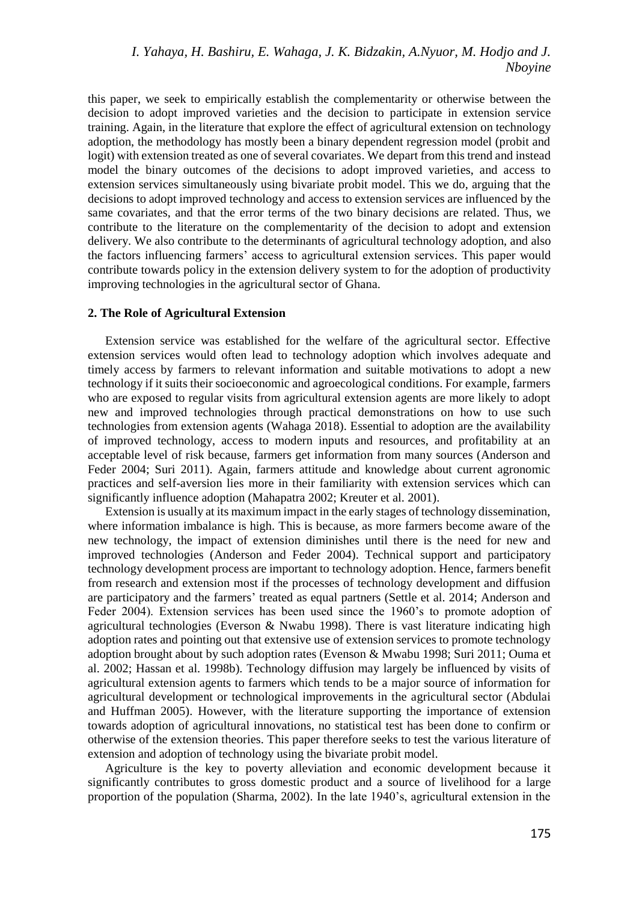this paper, we seek to empirically establish the complementarity or otherwise between the decision to adopt improved varieties and the decision to participate in extension service training. Again, in the literature that explore the effect of agricultural extension on technology adoption, the methodology has mostly been a binary dependent regression model (probit and logit) with extension treated as one of several covariates. We depart from this trend and instead model the binary outcomes of the decisions to adopt improved varieties, and access to extension services simultaneously using bivariate probit model. This we do, arguing that the decisions to adopt improved technology and access to extension services are influenced by the same covariates, and that the error terms of the two binary decisions are related. Thus, we contribute to the literature on the complementarity of the decision to adopt and extension delivery. We also contribute to the determinants of agricultural technology adoption, and also the factors influencing farmers' access to agricultural extension services. This paper would contribute towards policy in the extension delivery system to for the adoption of productivity improving technologies in the agricultural sector of Ghana.

### **2. The Role of Agricultural Extension**

Extension service was established for the welfare of the agricultural sector. Effective extension services would often lead to technology adoption which involves adequate and timely access by farmers to relevant information and suitable motivations to adopt a new technology if it suits their socioeconomic and agroecological conditions. For example, farmers who are exposed to regular visits from agricultural extension agents are more likely to adopt new and improved technologies through practical demonstrations on how to use such technologies from extension agents (Wahaga 2018). Essential to adoption are the availability of improved technology, access to modern inputs and resources, and profitability at an acceptable level of risk because, farmers get information from many sources (Anderson and Feder 2004; Suri 2011). Again, farmers attitude and knowledge about current agronomic practices and self-aversion lies more in their familiarity with extension services which can significantly influence adoption (Mahapatra 2002; Kreuter et al. 2001).

Extension is usually at its maximum impact in the early stages of technology dissemination, where information imbalance is high. This is because, as more farmers become aware of the new technology, the impact of extension diminishes until there is the need for new and improved technologies (Anderson and Feder 2004). Technical support and participatory technology development process are important to technology adoption. Hence, farmers benefit from research and extension most if the processes of technology development and diffusion are participatory and the farmers' treated as equal partners (Settle et al. 2014; Anderson and Feder 2004). Extension services has been used since the 1960's to promote adoption of agricultural technologies (Everson & Nwabu 1998). There is vast literature indicating high adoption rates and pointing out that extensive use of extension services to promote technology adoption brought about by such adoption rates (Evenson & Mwabu 1998; Suri 2011; Ouma et al. 2002; Hassan et al. 1998b). Technology diffusion may largely be influenced by visits of agricultural extension agents to farmers which tends to be a major source of information for agricultural development or technological improvements in the agricultural sector (Abdulai and Huffman 2005). However, with the literature supporting the importance of extension towards adoption of agricultural innovations, no statistical test has been done to confirm or otherwise of the extension theories. This paper therefore seeks to test the various literature of extension and adoption of technology using the bivariate probit model.

Agriculture is the key to poverty alleviation and economic development because it significantly contributes to gross domestic product and a source of livelihood for a large proportion of the population (Sharma, 2002). In the late 1940's, agricultural extension in the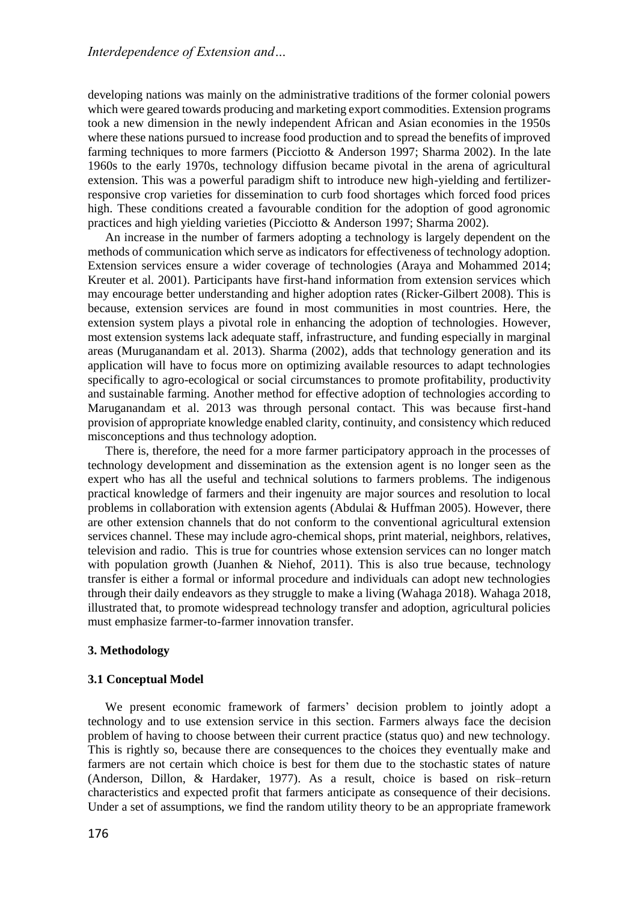developing nations was mainly on the administrative traditions of the former colonial powers which were geared towards producing and marketing export commodities. Extension programs took a new dimension in the newly independent African and Asian economies in the 1950s where these nations pursued to increase food production and to spread the benefits of improved farming techniques to more farmers (Picciotto & Anderson 1997; Sharma 2002). In the late 1960s to the early 1970s, technology diffusion became pivotal in the arena of agricultural extension. This was a powerful paradigm shift to introduce new high-yielding and fertilizerresponsive crop varieties for dissemination to curb food shortages which forced food prices high. These conditions created a favourable condition for the adoption of good agronomic practices and high yielding varieties (Picciotto & Anderson 1997; Sharma 2002).

An increase in the number of farmers adopting a technology is largely dependent on the methods of communication which serve as indicators for effectiveness of technology adoption. Extension services ensure a wider coverage of technologies (Araya and Mohammed 2014; Kreuter et al. 2001). Participants have first-hand information from extension services which may encourage better understanding and higher adoption rates (Ricker-Gilbert 2008). This is because, extension services are found in most communities in most countries. Here, the extension system plays a pivotal role in enhancing the adoption of technologies. However, most extension systems lack adequate staff, infrastructure, and funding especially in marginal areas (Muruganandam et al. 2013). Sharma (2002), adds that technology generation and its application will have to focus more on optimizing available resources to adapt technologies specifically to agro-ecological or social circumstances to promote profitability, productivity and sustainable farming. Another method for effective adoption of technologies according to Maruganandam et al. 2013 was through personal contact. This was because first-hand provision of appropriate knowledge enabled clarity, continuity, and consistency which reduced misconceptions and thus technology adoption.

There is, therefore, the need for a more farmer participatory approach in the processes of technology development and dissemination as the extension agent is no longer seen as the expert who has all the useful and technical solutions to farmers problems. The indigenous practical knowledge of farmers and their ingenuity are major sources and resolution to local problems in collaboration with extension agents (Abdulai  $\&$  Huffman 2005). However, there are other extension channels that do not conform to the conventional agricultural extension services channel. These may include agro-chemical shops, print material, neighbors, relatives, television and radio. This is true for countries whose extension services can no longer match with population growth (Juanhen & Niehof, 2011). This is also true because, technology transfer is either a formal or informal procedure and individuals can adopt new technologies through their daily endeavors as they struggle to make a living (Wahaga 2018). Wahaga 2018, illustrated that, to promote widespread technology transfer and adoption, agricultural policies must emphasize farmer-to-farmer innovation transfer.

### **3. Methodology**

#### **3.1 Conceptual Model**

We present economic framework of farmers' decision problem to jointly adopt a technology and to use extension service in this section. Farmers always face the decision problem of having to choose between their current practice (status quo) and new technology. This is rightly so, because there are consequences to the choices they eventually make and farmers are not certain which choice is best for them due to the stochastic states of nature (Anderson, Dillon, & Hardaker, 1977). As a result, choice is based on risk–return characteristics and expected profit that farmers anticipate as consequence of their decisions. Under a set of assumptions, we find the random utility theory to be an appropriate framework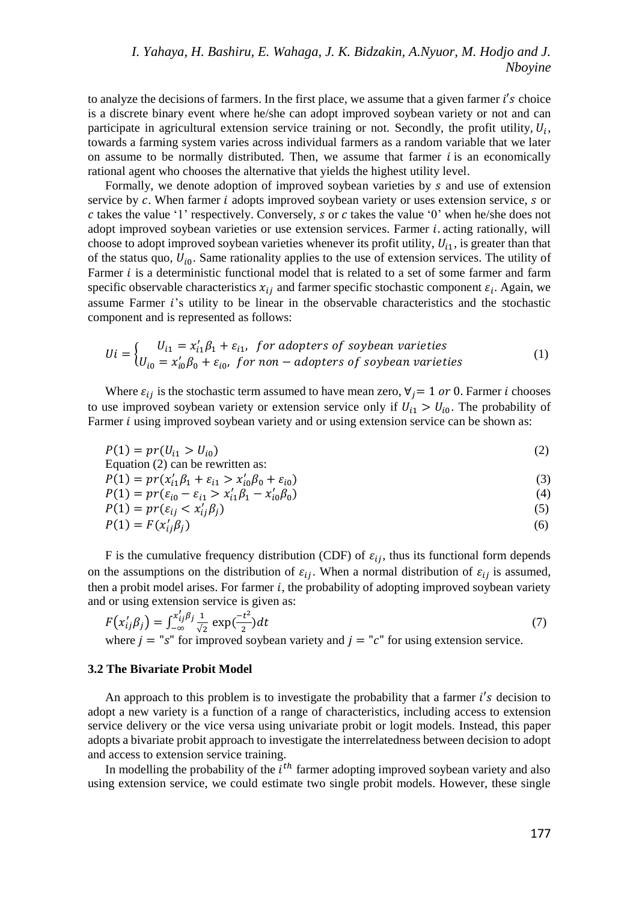to analyze the decisions of farmers. In the first place, we assume that a given farmer  $i$ 's choice is a discrete binary event where he/she can adopt improved soybean variety or not and can participate in agricultural extension service training or not. Secondly, the profit utility,  $U_i$ , towards a farming system varies across individual farmers as a random variable that we later on assume to be normally distributed. Then, we assume that farmer  $i$  is an economically rational agent who chooses the alternative that yields the highest utility level.

Formally, we denote adoption of improved soybean varieties by  $s$  and use of extension service by  $c$ . When farmer  $i$  adopts improved soybean variety or uses extension service,  $s$  or  $c$  takes the value '1' respectively. Conversely,  $s$  or  $c$  takes the value '0' when he/she does not adopt improved soybean varieties or use extension services. Farmer  $i$  acting rationally, will choose to adopt improved soybean varieties whenever its profit utility,  $U_{i1}$ , is greater than that of the status quo,  $U_{i0}$ . Same rationality applies to the use of extension services. The utility of Farmer  $i$  is a deterministic functional model that is related to a set of some farmer and farm specific observable characteristics  $x_{ij}$  and farmer specific stochastic component  $\varepsilon_i$ . Again, we assume Farmer 's utility to be linear in the observable characteristics and the stochastic component and is represented as follows:

$$
Ui = \begin{cases} U_{i1} = x'_{i1} \beta_1 + \varepsilon_{i1}, & \text{for adopters of soybean varieties} \\ U_{i0} = x'_{i0} \beta_0 + \varepsilon_{i0}, & \text{for non–adopters of soybean varieties} \end{cases}
$$
(1)

Where  $\varepsilon_{ij}$  is the stochastic term assumed to have mean zero,  $\forall j=1$  or 0. Farmer *i* chooses to use improved soybean variety or extension service only if  $U_{i1} > U_{i0}$ . The probability of Farmer  $i$  using improved soybean variety and or using extension service can be shown as:

$$
P(1) = pr(U_{i1} > U_{i0})
$$
 (2)

Equation (2) can be rewritten as:  $P(1) = pr(x'_{i1}\beta_1 + \varepsilon_{i1} > x'_{i0}\beta_0 + \varepsilon_{i0})$  (3)

$$
P(1) = pr(\varepsilon_{i0} - \varepsilon_{i1} > x'_{i1}\beta_1 - x'_{i0}\beta_0)
$$
\n(4)

$$
P(1) = pr(\varepsilon_{ij} < x_{ij}'\beta_j) \tag{5}
$$

$$
P(1) = F(x'_{ij}\beta_j) \tag{6}
$$

F is the cumulative frequency distribution (CDF) of  $\varepsilon_{ij}$ , thus its functional form depends on the assumptions on the distribution of  $\varepsilon_{ij}$ . When a normal distribution of  $\varepsilon_{ij}$  is assumed, then a probit model arises. For farmer  $i$ , the probability of adopting improved soybean variety and or using extension service is given as:

$$
F(x'_{ij}\beta_j) = \int_{-\infty}^{x'_{ij}\beta_j} \frac{1}{\sqrt{2}} \exp(\frac{-t^2}{2}) dt
$$
  
where  $j = \text{"s" for improved soybean variety and  $j = \text{"c" for using extension service.}$  (7)$ 

### **3.2 The Bivariate Probit Model**

An approach to this problem is to investigate the probability that a farmer  $i$ 's decision to adopt a new variety is a function of a range of characteristics, including access to extension service delivery or the vice versa using univariate probit or logit models. Instead, this paper adopts a bivariate probit approach to investigate the interrelatedness between decision to adopt and access to extension service training.

In modelling the probability of the  $i<sup>th</sup>$  farmer adopting improved soybean variety and also using extension service, we could estimate two single probit models. However, these single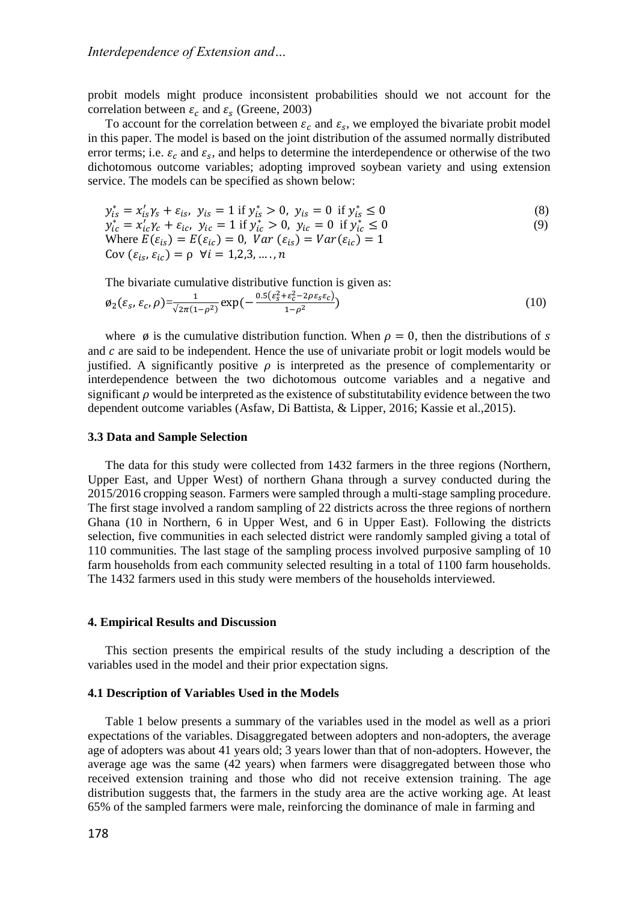probit models might produce inconsistent probabilities should we not account for the correlation between  $\varepsilon_c$  and  $\varepsilon_s$  (Greene, 2003)

To account for the correlation between  $\varepsilon_c$  and  $\varepsilon_s$ , we employed the bivariate probit model in this paper. The model is based on the joint distribution of the assumed normally distributed error terms; i.e.  $\varepsilon_c$  and  $\varepsilon_s$ , and helps to determine the interdependence or otherwise of the two dichotomous outcome variables; adopting improved soybean variety and using extension service. The models can be specified as shown below:

$$
y_{is}^* = x_{is}' y_s + \varepsilon_{is}, \ y_{is} = 1 \text{ if } y_{is}^* > 0, \ y_{is} = 0 \text{ if } y_{is}^* \le 0
$$
 (8)

$$
y_{ic}^{*} = x_{ic}^{\prime} \gamma_{c} + \varepsilon_{ic}, \ y_{ic} = 1 \text{ if } y_{ic}^{*} > 0, \ y_{ic} = 0 \text{ if } y_{ic}^{*} \le 0
$$
  
Where  $E(\varepsilon_{is}) = E(\varepsilon_{ic}) = 0$ ,  $Var(\varepsilon_{is}) = Var(\varepsilon_{ic}) = 1$   
Cov  $(\varepsilon_{is}, \varepsilon_{ic}) = \rho \ \forall i = 1, 2, 3, ..., n$  (9)

The bivariate cumulative distributive function is given as:

$$
\varphi_2(\varepsilon_s, \varepsilon_c, \rho) = \frac{1}{\sqrt{2\pi(1-\rho^2)}} \exp\left(-\frac{0.5(\varepsilon_s^2 + \varepsilon_c^2 - 2\rho\varepsilon_s\varepsilon_c)}{1-\rho^2}\right) \tag{10}
$$

where  $\phi$  is the cumulative distribution function. When  $\rho = 0$ , then the distributions of s and  $c$  are said to be independent. Hence the use of univariate probit or logit models would be justified. A significantly positive  $\rho$  is interpreted as the presence of complementarity or interdependence between the two dichotomous outcome variables and a negative and significant  $\rho$  would be interpreted as the existence of substitutability evidence between the two dependent outcome variables (Asfaw, Di Battista, & Lipper, 2016; Kassie et al.,2015).

### **3.3 Data and Sample Selection**

The data for this study were collected from 1432 farmers in the three regions (Northern, Upper East, and Upper West) of northern Ghana through a survey conducted during the 2015/2016 cropping season. Farmers were sampled through a multi-stage sampling procedure. The first stage involved a random sampling of 22 districts across the three regions of northern Ghana (10 in Northern, 6 in Upper West, and 6 in Upper East). Following the districts selection, five communities in each selected district were randomly sampled giving a total of 110 communities. The last stage of the sampling process involved purposive sampling of 10 farm households from each community selected resulting in a total of 1100 farm households. The 1432 farmers used in this study were members of the households interviewed.

#### **4. Empirical Results and Discussion**

This section presents the empirical results of the study including a description of the variables used in the model and their prior expectation signs.

### **4.1 Description of Variables Used in the Models**

Table 1 below presents a summary of the variables used in the model as well as a priori expectations of the variables. Disaggregated between adopters and non-adopters, the average age of adopters was about 41 years old; 3 years lower than that of non-adopters. However, the average age was the same (42 years) when farmers were disaggregated between those who received extension training and those who did not receive extension training. The age distribution suggests that, the farmers in the study area are the active working age. At least 65% of the sampled farmers were male, reinforcing the dominance of male in farming and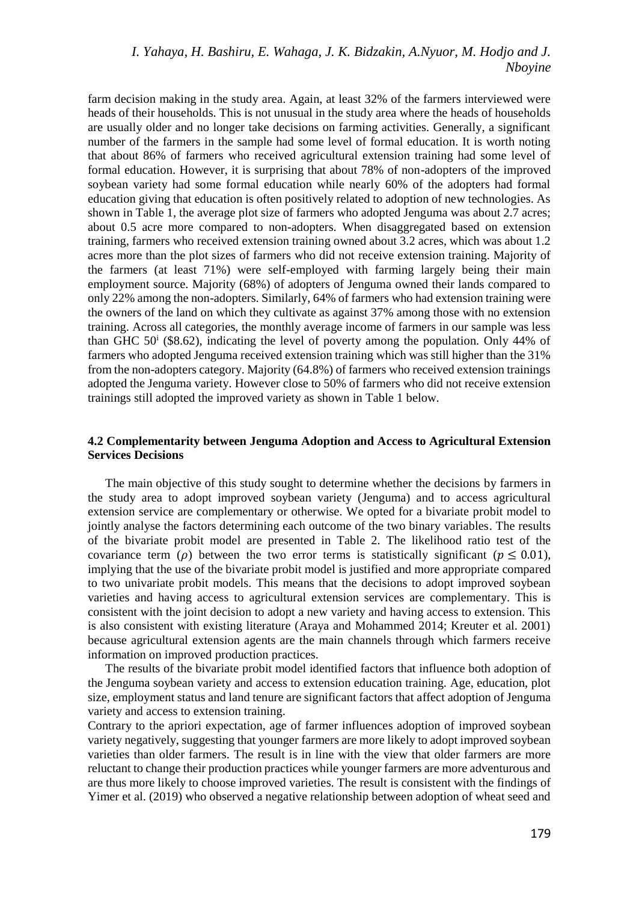# *I. Yahaya, H. Bashiru, E. Wahaga, J. K. Bidzakin, A.Nyuor, M. Hodjo and J. Nboyine*

farm decision making in the study area. Again, at least 32% of the farmers interviewed were heads of their households. This is not unusual in the study area where the heads of households are usually older and no longer take decisions on farming activities. Generally, a significant number of the farmers in the sample had some level of formal education. It is worth noting that about 86% of farmers who received agricultural extension training had some level of formal education. However, it is surprising that about 78% of non-adopters of the improved soybean variety had some formal education while nearly 60% of the adopters had formal education giving that education is often positively related to adoption of new technologies. As shown in Table 1, the average plot size of farmers who adopted Jenguma was about 2.7 acres; about 0.5 acre more compared to non-adopters. When disaggregated based on extension training, farmers who received extension training owned about 3.2 acres, which was about 1.2 acres more than the plot sizes of farmers who did not receive extension training. Majority of the farmers (at least 71%) were self-employed with farming largely being their main employment source. Majority (68%) of adopters of Jenguma owned their lands compared to only 22% among the non-adopters. Similarly, 64% of farmers who had extension training were the owners of the land on which they cultivate as against 37% among those with no extension training. Across all categories, the monthly average income of farmers in our sample was less than GHC  $50^{\circ}$  (\$8.62), indicating the level of poverty among the population. Only 44% of farmers who adopted Jenguma received extension training which was still higher than the 31% from the non-adopters category. Majority (64.8%) of farmers who received extension trainings adopted the Jenguma variety. However close to 50% of farmers who did not receive extension trainings still adopted the improved variety as shown in Table 1 below.

# **4.2 Complementarity between Jenguma Adoption and Access to Agricultural Extension Services Decisions**

The main objective of this study sought to determine whether the decisions by farmers in the study area to adopt improved soybean variety (Jenguma) and to access agricultural extension service are complementary or otherwise. We opted for a bivariate probit model to jointly analyse the factors determining each outcome of the two binary variables. The results of the bivariate probit model are presented in Table 2. The likelihood ratio test of the covariance term ( $\rho$ ) between the two error terms is statistically significant ( $p \le 0.01$ ), implying that the use of the bivariate probit model is justified and more appropriate compared to two univariate probit models. This means that the decisions to adopt improved soybean varieties and having access to agricultural extension services are complementary. This is consistent with the joint decision to adopt a new variety and having access to extension. This is also consistent with existing literature (Araya and Mohammed 2014; Kreuter et al. 2001) because agricultural extension agents are the main channels through which farmers receive information on improved production practices.

The results of the bivariate probit model identified factors that influence both adoption of the Jenguma soybean variety and access to extension education training. Age, education, plot size, employment status and land tenure are significant factors that affect adoption of Jenguma variety and access to extension training.

Contrary to the apriori expectation, age of farmer influences adoption of improved soybean variety negatively, suggesting that younger farmers are more likely to adopt improved soybean varieties than older farmers. The result is in line with the view that older farmers are more reluctant to change their production practices while younger farmers are more adventurous and are thus more likely to choose improved varieties. The result is consistent with the findings of Yimer et al. (2019) who observed a negative relationship between adoption of wheat seed and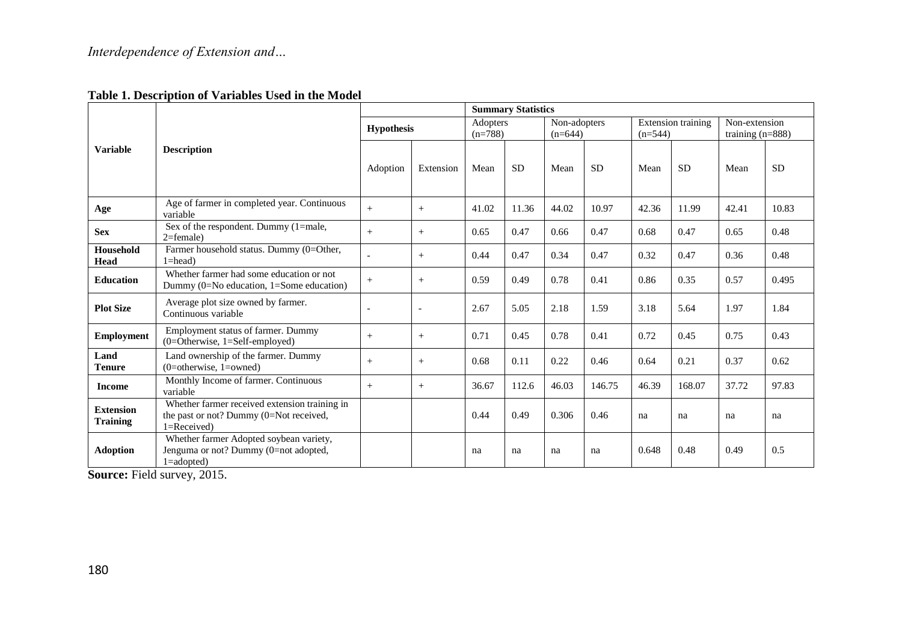# **Table 1. Description of Variables Used in the Model**

|                                     | <b>Description</b>                                                                                             |                   | <b>Summary Statistics</b> |                       |           |                           |           |                                        |           |                                     |           |
|-------------------------------------|----------------------------------------------------------------------------------------------------------------|-------------------|---------------------------|-----------------------|-----------|---------------------------|-----------|----------------------------------------|-----------|-------------------------------------|-----------|
| <b>Variable</b>                     |                                                                                                                | <b>Hypothesis</b> |                           | Adopters<br>$(n=788)$ |           | Non-adopters<br>$(n=644)$ |           | <b>Extension training</b><br>$(n=544)$ |           | Non-extension<br>training $(n=888)$ |           |
|                                     |                                                                                                                | Adoption          | Extension                 | Mean                  | <b>SD</b> | Mean                      | <b>SD</b> | Mean                                   | <b>SD</b> | Mean                                | <b>SD</b> |
| Age                                 | Age of farmer in completed year. Continuous<br>variable                                                        | $+$               | $+$                       | 41.02                 | 11.36     | 44.02                     | 10.97     | 42.36                                  | 11.99     | 42.41                               | 10.83     |
| <b>Sex</b>                          | Sex of the respondent. Dummy (1=male,<br>$2$ =female)                                                          | $+$               | $+$                       | 0.65                  | 0.47      | 0.66                      | 0.47      | 0.68                                   | 0.47      | 0.65                                | 0.48      |
| <b>Household</b><br>Head            | Farmer household status. Dummy (0=Other,<br>$1 = head$ )                                                       |                   | $+$                       | 0.44                  | 0.47      | 0.34                      | 0.47      | 0.32                                   | 0.47      | 0.36                                | 0.48      |
| <b>Education</b>                    | Whether farmer had some education or not<br>Dummy $(0=No$ education, $1=Some$ education)                       | $+$               | $+$                       | 0.59                  | 0.49      | 0.78                      | 0.41      | 0.86                                   | 0.35      | 0.57                                | 0.495     |
| <b>Plot Size</b>                    | Average plot size owned by farmer.<br>Continuous variable                                                      | ٠                 | ٠                         | 2.67                  | 5.05      | 2.18                      | 1.59      | 3.18                                   | 5.64      | 1.97                                | 1.84      |
| <b>Employment</b>                   | Employment status of farmer. Dummy<br>$(0=Otherwise, 1=Self-employed)$                                         | $+$               | $+$                       | 0.71                  | 0.45      | 0.78                      | 0.41      | 0.72                                   | 0.45      | 0.75                                | 0.43      |
| Land<br><b>Tenure</b>               | Land ownership of the farmer. Dummy<br>$(0=otherwise, 1=owned)$                                                | $+$               | $+$                       | 0.68                  | 0.11      | 0.22                      | 0.46      | 0.64                                   | 0.21      | 0.37                                | 0.62      |
| <b>Income</b>                       | Monthly Income of farmer. Continuous<br>variable                                                               | $+$               | $+$                       | 36.67                 | 112.6     | 46.03                     | 146.75    | 46.39                                  | 168.07    | 37.72                               | 97.83     |
| <b>Extension</b><br><b>Training</b> | Whether farmer received extension training in<br>the past or not? Dummy $(0=Not\ received,$<br>$1 =$ Received) |                   |                           | 0.44                  | 0.49      | 0.306                     | 0.46      | na                                     | na        | na                                  | na        |
| <b>Adoption</b>                     | Whether farmer Adopted soybean variety,<br>Jenguma or not? Dummy (0=not adopted,<br>$1 = adopted$ )            |                   |                           | na                    | na        | na                        | na        | 0.648                                  | 0.48      | 0.49                                | 0.5       |

**Source:** Field survey, 2015.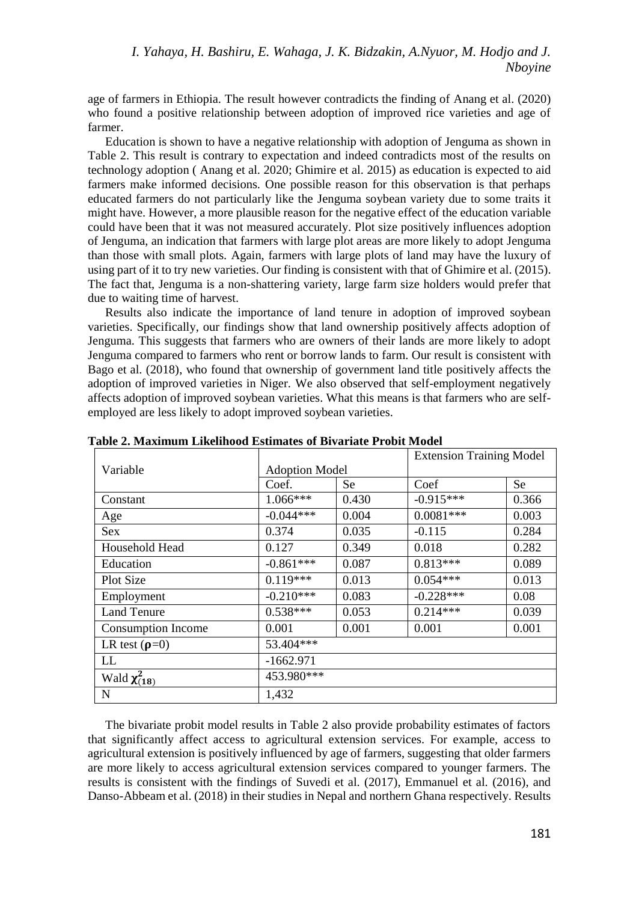age of farmers in Ethiopia. The result however contradicts the finding of Anang et al. (2020) who found a positive relationship between adoption of improved rice varieties and age of farmer.

Education is shown to have a negative relationship with adoption of Jenguma as shown in Table 2. This result is contrary to expectation and indeed contradicts most of the results on technology adoption ( Anang et al. 2020; Ghimire et al. 2015) as education is expected to aid farmers make informed decisions. One possible reason for this observation is that perhaps educated farmers do not particularly like the Jenguma soybean variety due to some traits it might have. However, a more plausible reason for the negative effect of the education variable could have been that it was not measured accurately. Plot size positively influences adoption of Jenguma, an indication that farmers with large plot areas are more likely to adopt Jenguma than those with small plots. Again, farmers with large plots of land may have the luxury of using part of it to try new varieties. Our finding is consistent with that of Ghimire et al. (2015). The fact that, Jenguma is a non-shattering variety, large farm size holders would prefer that due to waiting time of harvest.

Results also indicate the importance of land tenure in adoption of improved soybean varieties. Specifically, our findings show that land ownership positively affects adoption of Jenguma. This suggests that farmers who are owners of their lands are more likely to adopt Jenguma compared to farmers who rent or borrow lands to farm. Our result is consistent with Bago et al. (2018), who found that ownership of government land title positively affects the adoption of improved varieties in Niger. We also observed that self-employment negatively affects adoption of improved soybean varieties. What this means is that farmers who are selfemployed are less likely to adopt improved soybean varieties.

|                           |                       |       | <b>Extension Training Model</b> |       |  |  |  |  |  |
|---------------------------|-----------------------|-------|---------------------------------|-------|--|--|--|--|--|
| Variable                  | <b>Adoption Model</b> |       |                                 |       |  |  |  |  |  |
|                           | Coef.                 | Se.   | Coef                            | Se.   |  |  |  |  |  |
| Constant                  | $1.066***$            | 0.430 | $-0.915***$                     | 0.366 |  |  |  |  |  |
| Age                       | $-0.044***$           | 0.004 | $0.0081***$                     | 0.003 |  |  |  |  |  |
| <b>Sex</b>                | 0.374                 | 0.035 | $-0.115$                        | 0.284 |  |  |  |  |  |
| Household Head            | 0.127                 | 0.349 | 0.018                           | 0.282 |  |  |  |  |  |
| Education                 | $-0.861***$           | 0.087 | $0.813***$                      | 0.089 |  |  |  |  |  |
| <b>Plot Size</b>          | $0.119***$            | 0.013 | $0.054***$                      | 0.013 |  |  |  |  |  |
| Employment                | $-0.210***$           | 0.083 | $-0.228***$                     | 0.08  |  |  |  |  |  |
| <b>Land Tenure</b>        | $0.538***$            | 0.053 | $0.214***$                      | 0.039 |  |  |  |  |  |
| <b>Consumption Income</b> | 0.001                 | 0.001 | 0.001                           | 0.001 |  |  |  |  |  |
| LR test $(\rho=0)$        | 53.404***             |       |                                 |       |  |  |  |  |  |
| LL                        | $-1662.971$           |       |                                 |       |  |  |  |  |  |
| Wald $\chi^2_{(18)}$      | 453.980***            |       |                                 |       |  |  |  |  |  |
| N                         | 1,432                 |       |                                 |       |  |  |  |  |  |

**Table 2. Maximum Likelihood Estimates of Bivariate Probit Model**

The bivariate probit model results in Table 2 also provide probability estimates of factors that significantly affect access to agricultural extension services. For example, access to agricultural extension is positively influenced by age of farmers, suggesting that older farmers are more likely to access agricultural extension services compared to younger farmers. The results is consistent with the findings of Suvedi et al. (2017), Emmanuel et al. (2016), and Danso-Abbeam et al. (2018) in their studies in Nepal and northern Ghana respectively. Results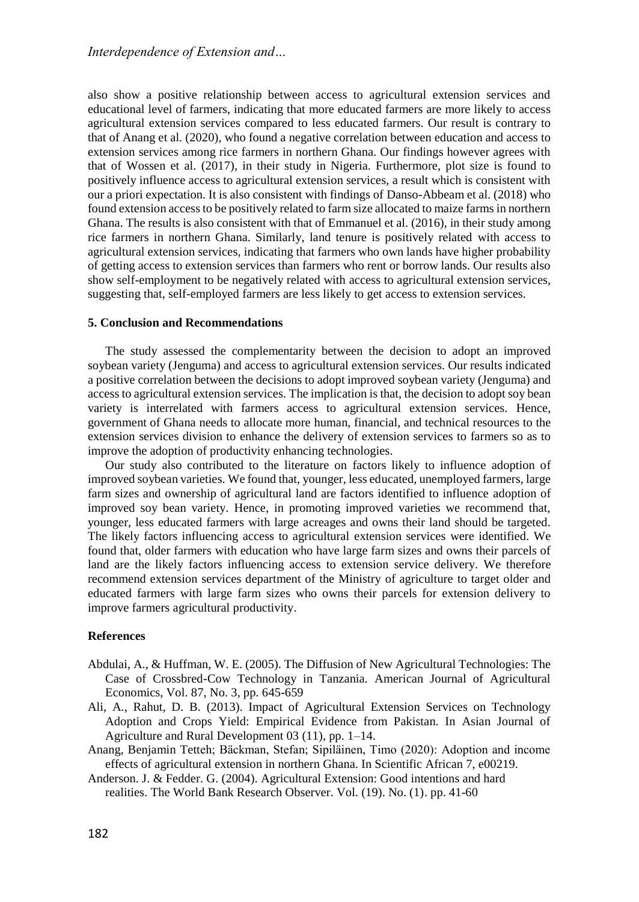also show a positive relationship between access to agricultural extension services and educational level of farmers, indicating that more educated farmers are more likely to access agricultural extension services compared to less educated farmers. Our result is contrary to that of Anang et al. (2020), who found a negative correlation between education and access to extension services among rice farmers in northern Ghana. Our findings however agrees with that of Wossen et al. (2017), in their study in Nigeria. Furthermore, plot size is found to positively influence access to agricultural extension services, a result which is consistent with our a priori expectation. It is also consistent with findings of Danso-Abbeam et al. (2018) who found extension access to be positively related to farm size allocated to maize farms in northern Ghana. The results is also consistent with that of Emmanuel et al. (2016), in their study among rice farmers in northern Ghana. Similarly, land tenure is positively related with access to agricultural extension services, indicating that farmers who own lands have higher probability of getting access to extension services than farmers who rent or borrow lands. Our results also show self-employment to be negatively related with access to agricultural extension services, suggesting that, self-employed farmers are less likely to get access to extension services.

### **5. Conclusion and Recommendations**

The study assessed the complementarity between the decision to adopt an improved soybean variety (Jenguma) and access to agricultural extension services. Our results indicated a positive correlation between the decisions to adopt improved soybean variety (Jenguma) and access to agricultural extension services. The implication is that, the decision to adopt soy bean variety is interrelated with farmers access to agricultural extension services. Hence, government of Ghana needs to allocate more human, financial, and technical resources to the extension services division to enhance the delivery of extension services to farmers so as to improve the adoption of productivity enhancing technologies.

Our study also contributed to the literature on factors likely to influence adoption of improved soybean varieties. We found that, younger, less educated, unemployed farmers, large farm sizes and ownership of agricultural land are factors identified to influence adoption of improved soy bean variety. Hence, in promoting improved varieties we recommend that, younger, less educated farmers with large acreages and owns their land should be targeted. The likely factors influencing access to agricultural extension services were identified. We found that, older farmers with education who have large farm sizes and owns their parcels of land are the likely factors influencing access to extension service delivery. We therefore recommend extension services department of the Ministry of agriculture to target older and educated farmers with large farm sizes who owns their parcels for extension delivery to improve farmers agricultural productivity.

### **References**

- Abdulai, A., & Huffman, W. E. (2005). The Diffusion of New Agricultural Technologies: The Case of Crossbred-Cow Technology in Tanzania. American Journal of Agricultural Economics, Vol. 87, No. 3, pp. 645-659
- Ali, A., Rahut, D. B. (2013). Impact of Agricultural Extension Services on Technology Adoption and Crops Yield: Empirical Evidence from Pakistan. In Asian Journal of Agriculture and Rural Development 03 (11), pp. 1–14.
- Anang, Benjamin Tetteh; Bäckman, Stefan; Sipiläinen, Timo (2020): Adoption and income effects of agricultural extension in northern Ghana. In Scientific African 7, e00219.
- Anderson. J. & Fedder. G. (2004). Agricultural Extension: Good intentions and hard realities. The World Bank Research Observer. Vol. (19). No. (1). pp. 41-60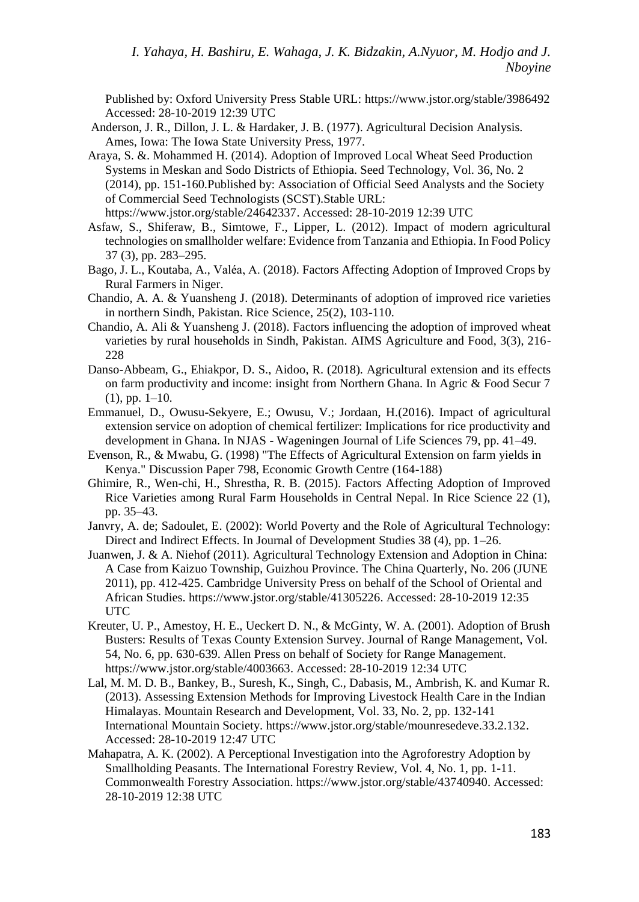Published by: Oxford University Press Stable URL:<https://www.jstor.org/stable/3986492> Accessed: 28-10-2019 12:39 UTC

- Anderson, J. R., Dillon, J. L. & Hardaker, J. B. (1977). Agricultural Decision Analysis. Ames, Iowa: The Iowa State University Press, 1977.
- Araya, S. &. Mohammed H. (2014). Adoption of Improved Local Wheat Seed Production Systems in Meskan and Sodo Districts of Ethiopia. Seed Technology, Vol. 36, No. 2 (2014), pp. 151-160.Published by: Association of Official Seed Analysts and the Society of Commercial Seed Technologists (SCST).Stable URL: [https://www.jstor.org/stable/24642337.](https://www.jstor.org/stable/24642337) Accessed: 28-10-2019 12:39 UTC
- Asfaw, S., Shiferaw, B., Simtowe, F., Lipper, L. (2012). Impact of modern agricultural technologies on smallholder welfare: Evidence from Tanzania and Ethiopia. In Food Policy 37 (3), pp. 283–295.
- Bago, J. L., Koutaba, A., Valéa, A. (2018). Factors Affecting Adoption of Improved Crops by Rural Farmers in Niger.
- Chandio, A. A. & Yuansheng J. (2018). Determinants of adoption of improved rice varieties in northern Sindh, Pakistan. Rice Science, 25(2), 103-110.
- Chandio, A. Ali & Yuansheng J. (2018). Factors influencing the adoption of improved wheat varieties by rural households in Sindh, Pakistan. AIMS Agriculture and Food, 3(3), 216- 228
- Danso-Abbeam, G., Ehiakpor, D. S., Aidoo, R. (2018). Agricultural extension and its effects on farm productivity and income: insight from Northern Ghana. In Agric & Food Secur 7  $(1)$ , pp.  $1-10$ .
- Emmanuel, D., Owusu-Sekyere, E.; Owusu, V.; Jordaan, H.(2016). Impact of agricultural extension service on adoption of chemical fertilizer: Implications for rice productivity and development in Ghana. In NJAS - Wageningen Journal of Life Sciences 79, pp. 41–49.
- Evenson, R., & Mwabu, G. (1998) "The Effects of Agricultural Extension on farm yields in Kenya." Discussion Paper 798, Economic Growth Centre (164-188)
- Ghimire, R., Wen-chi, H., Shrestha, R. B. (2015). Factors Affecting Adoption of Improved Rice Varieties among Rural Farm Households in Central Nepal. In Rice Science 22 (1), pp. 35–43.
- Janvry, A. de; Sadoulet, E. (2002): World Poverty and the Role of Agricultural Technology: Direct and Indirect Effects. In Journal of Development Studies 38 (4), pp. 1–26.
- Juanwen, J. & A. Niehof (2011). Agricultural Technology Extension and Adoption in China: A Case from Kaizuo Township, Guizhou Province. The China Quarterly, No. 206 (JUNE 2011), pp. 412-425. Cambridge University Press on behalf of the School of Oriental and African Studies. [https://www.jstor.org/stable/41305226.](https://www.jstor.org/stable/41305226) Accessed: 28-10-2019 12:35 UTC
- Kreuter, U. P., Amestoy, H. E., Ueckert D. N., & McGinty, W. A. (2001). Adoption of Brush Busters: Results of Texas County Extension Survey. Journal of Range Management, Vol. 54, No. 6, pp. 630-639. Allen Press on behalf of Society for Range Management. [https://www.jstor.org/stable/4003663.](https://www.jstor.org/stable/4003663) Accessed: 28-10-2019 12:34 UTC
- Lal, M. M. D. B., Bankey, B., Suresh, K., Singh, C., Dabasis, M., Ambrish, K. and Kumar R. (2013). Assessing Extension Methods for Improving Livestock Health Care in the Indian Himalayas. Mountain Research and Development, Vol. 33, No. 2, pp. 132-141 International Mountain Society. [https://www.jstor.org/stable/mounresedeve.33.2.132.](https://www.jstor.org/stable/mounresedeve.33.2.132) Accessed: 28-10-2019 12:47 UTC
- Mahapatra, A. K. (2002). A Perceptional Investigation into the Agroforestry Adoption by Smallholding Peasants. The International Forestry Review, Vol. 4, No. 1, pp. 1-11. Commonwealth Forestry Association. https://www.jstor.org/stable/43740940. Accessed: 28-10-2019 12:38 UTC